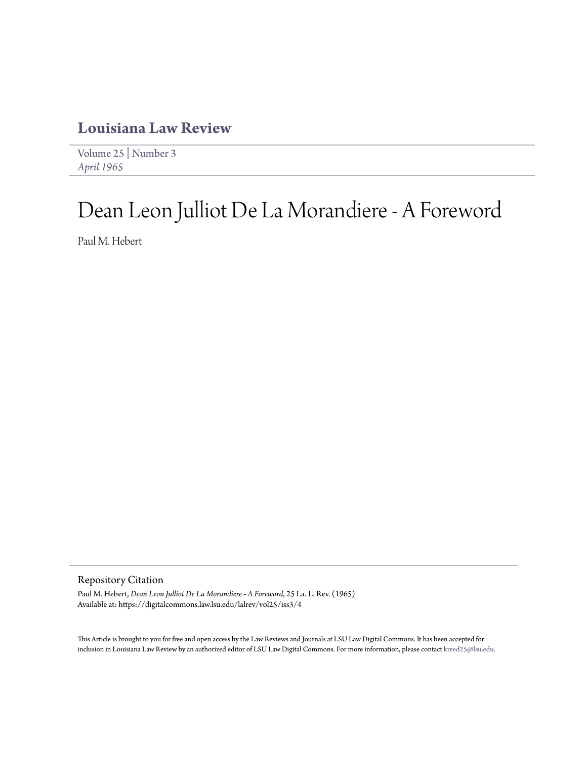## **[Louisiana Law Review](https://digitalcommons.law.lsu.edu/lalrev)**

[Volume 25](https://digitalcommons.law.lsu.edu/lalrev/vol25) | [Number 3](https://digitalcommons.law.lsu.edu/lalrev/vol25/iss3) *[April 1965](https://digitalcommons.law.lsu.edu/lalrev/vol25/iss3)*

# Dean Leon Julliot De La Morandiere - A Foreword

Paul M. Hebert

Repository Citation

Paul M. Hebert, *Dean Leon Julliot De La Morandiere - A Foreword*, 25 La. L. Rev. (1965) Available at: https://digitalcommons.law.lsu.edu/lalrev/vol25/iss3/4

This Article is brought to you for free and open access by the Law Reviews and Journals at LSU Law Digital Commons. It has been accepted for inclusion in Louisiana Law Review by an authorized editor of LSU Law Digital Commons. For more information, please contact [kreed25@lsu.edu](mailto:kreed25@lsu.edu).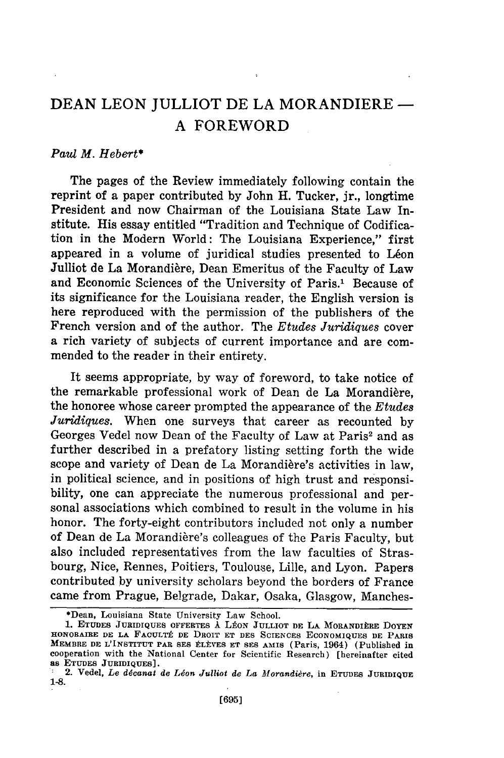## **DEAN LEON JULLIOT DE LA** MORANDIERE **A** FOREWORD

### *Paul M. Hebert\**

The pages of the Review immediately following contain the reprint of a paper contributed by John H. Tucker, jr., longtime President and now Chairman of the Louisiana State Law Institute. His essay entitled "Tradition and Technique of Codification in the Modern World: The Louisiana Experience," first appeared in a volume of juridical studies presented to Léon Julliot de La Morandière, Dean Emeritus of the Faculty of Law and Economic Sciences of the University of Paris.' Because of its significance for the Louisiana reader, the English version is here reproduced with the permission of the publishers of the French version and of the author. The *Etudes Juridiques* cover a rich variety of subjects of current importance and are commended to the reader in their entirety.

It seems appropriate, by way of foreword, to take notice of the remarkable professional work of Dean de La Morandière. the honoree whose career prompted the appearance of the *Etudes Juridiques.* When one surveys that career as recounted by Georges Vedel now Dean of the Faculty of Law at Paris<sup>2</sup> and as further described in a prefatory listing setting forth the wide scope and variety of Dean de La Morandière's activities in law. in political science, and in positions of high trust and responsibility, one can appreciate the numerous professional and personal associations which combined to result in the volume in his honor. The forty-eight contributors included not only a number of Dean de La Morandière's colleagues of the Paris Faculty, but also included representatives from the law faculties of Strasbourg, Nice, Rennes, Poitiers, Toulouse, Lille, and Lyon. Papers contributed by university scholars beyond the borders of France came from Prague, Belgrade, Dakar, Osaka, Glasgow, Manches-

<sup>\*</sup>Dean, Louisiana State University Law School.

**<sup>1.</sup> ETUDES JURIDIQUES OFFERTES À LÉON JULLIOT DE LA MORANDIÈRE DOYEN** HONOBAIRE DE LA FACULTÉ DE DROIT ET DES SCIENCES ECONOMIQUES DE PARIS **MEMBRE DE L'INSTITUT PAR SES tLIIVES ET SES AMIS (Paris,** 1964) (Published **in** cooperation with the National Center for Scientific Research) [hereinafter cited as **ETUDES JURIDIQUES].**

<sup>&</sup>lt;sup>2</sup> 2. Vedel, *Le décanat de Léon Julliot de La Morandière*, in ETUDES JURIDIQUE *1-8.*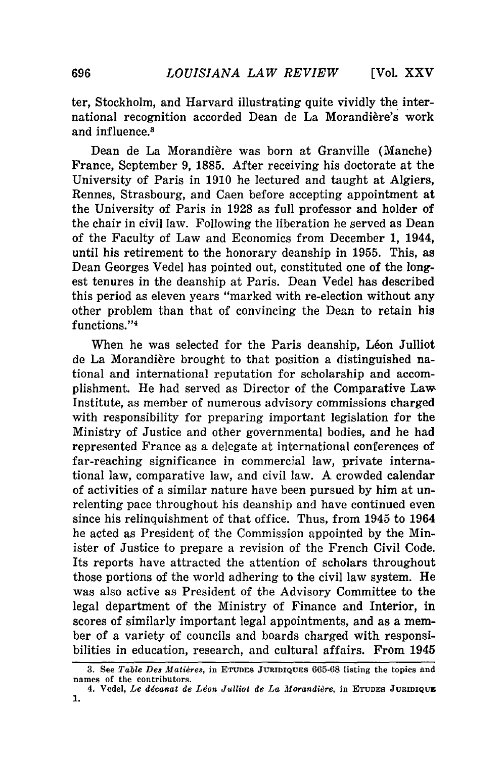**[Vol. XXV**

ter, Stockholm, and Harvard illustrating quite vividly the international recognition accorded Dean de La Morandière's work and influence.<sup>3</sup>

Dean de La Morandière was born at Granville (Manche) France, September 9, 1885. After receiving his doctorate at the University of Paris in 1910 he lectured and taught at Algiers, Rennes, Strasbourg, and Caen before accepting appointment at the University of Paris in 1928 as full professor and holder of the chair in civil law. Following the liberation he served as Dean of the Faculty of Law and Economics from December 1, 1944, until his retirement to the honorary deanship in 1955. This, as Dean Georges Vedel has pointed out, constituted one of the longest tenures in the deanship at Paris. Dean Vedel has described this period as eleven years "marked with re-election without any other problem than that of convincing the Dean to retain his functions."<sup>4</sup>

When he was selected for the Paris deanship, Léon Julliot de La Morandière brought to that position a distinguished national and international reputation for scholarship and accomplishment. He had served as Director of the Comparative Law, Institute, as member of numerous advisory commissions charged with responsibility for preparing important legislation for the Ministry of Justice and other governmental bodies, and he had represented France as a delegate at international conferences of far-reaching significance in commercial law, private international law, comparative law, and civil law. A crowded calendar of activities of a similar nature have been pursued by him at unrelenting pace throughout his deanship and have continued even since his relinquishment of that office. Thus, from 1945 to 1964 he acted as President of the Commission appointed by the Minister of Justice to prepare a revision of the French Civil Code. Its reports have attracted the attention of scholars throughout those portions of the world adhering to the civil law system. He was also active as President of the Advisory Committee to the legal department of the Ministry of Finance and Interior, in scores of similarly important legal appointments, and as a member of a variety of councils and boards charged with responsibilities in education, research, and cultural affairs. From 1945

<sup>3.</sup> See Table Des Matières, in ETUDES JURIDIQUES 665-68 listing the topics and names of the contributors.

<sup>4.</sup> Vedel, *Le décanat de Léon Julliot de La Morandière*, in ETUDES JURIDIQUE 1.